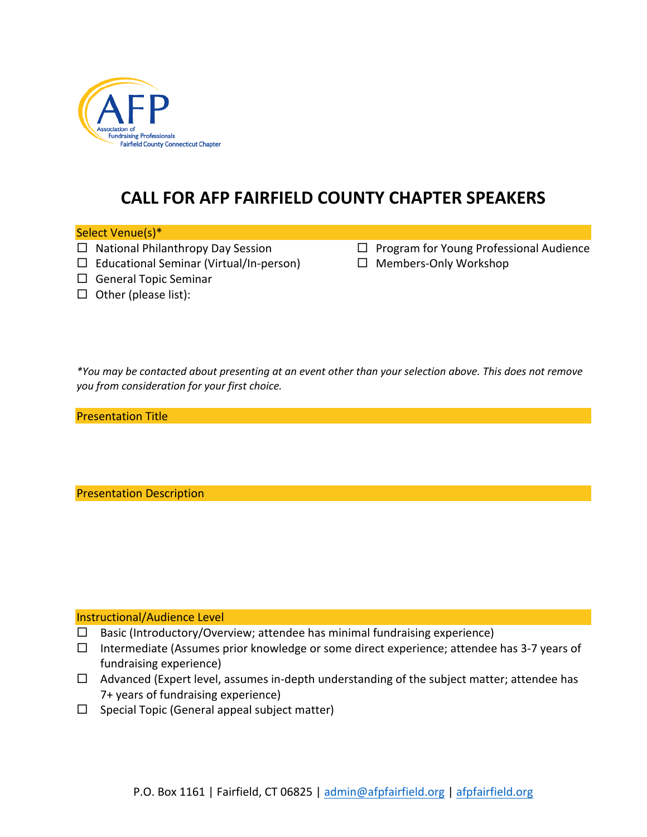

# **CALL FOR AFP FAIRFIELD COUNTY CHAPTER SPEAKERS**

## Select Venue(s)\*

- $\square$  National Philanthropy Day Session
- $\Box$  Educational Seminar (Virtual/In-person)
- $\square$  General Topic Seminar
- $\Box$  Other (please list):
- $\Box$  Program for Young Professional Audience
- $\square$  Members-Only Workshop

*\*You may be contacted about presenting at an event other than your selection above. This does not remove you from consideration for your first choice.* 

Presentation Title

Presentation Description

Instructional/Audience Level

- $\Box$  Basic (Introductory/Overview; attendee has minimal fundraising experience)
- $\square$  Intermediate (Assumes prior knowledge or some direct experience; attendee has 3-7 years of fundraising experience)
- $\Box$  Advanced (Expert level, assumes in-depth understanding of the subject matter; attendee has 7+ years of fundraising experience)
- $\square$  Special Topic (General appeal subject matter)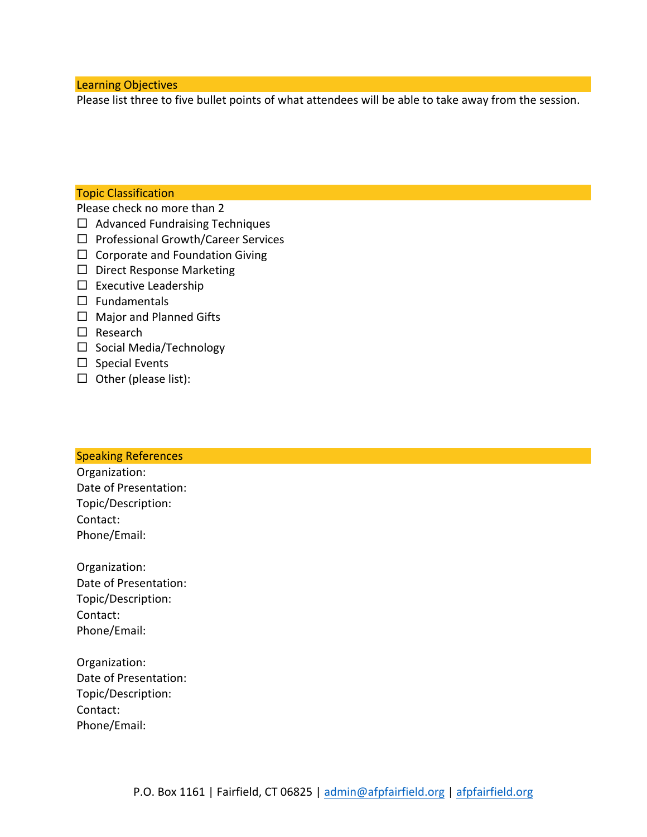Learning Objectives

Please list three to five bullet points of what attendees will be able to take away from the session.

# Topic Classification

Please check no more than 2

- $\Box$  Advanced Fundraising Techniques
- $\square$  Professional Growth/Career Services
- $\Box$  Corporate and Foundation Giving
- $\square$  Direct Response Marketing
- $\square$  Executive Leadership
- $\square$  Fundamentals
- $\square$  Major and Planned Gifts
- $\square$  Research
- □ Social Media/Technology
- $\square$  Special Events
- $\Box$  Other (please list):

#### Speaking References

Organization: Date of Presentation: Topic/Description: Contact: Phone/Email:

Organization: Date of Presentation: Topic/Description: Contact: Phone/Email:

Organization: Date of Presentation: Topic/Description: Contact: Phone/Email: